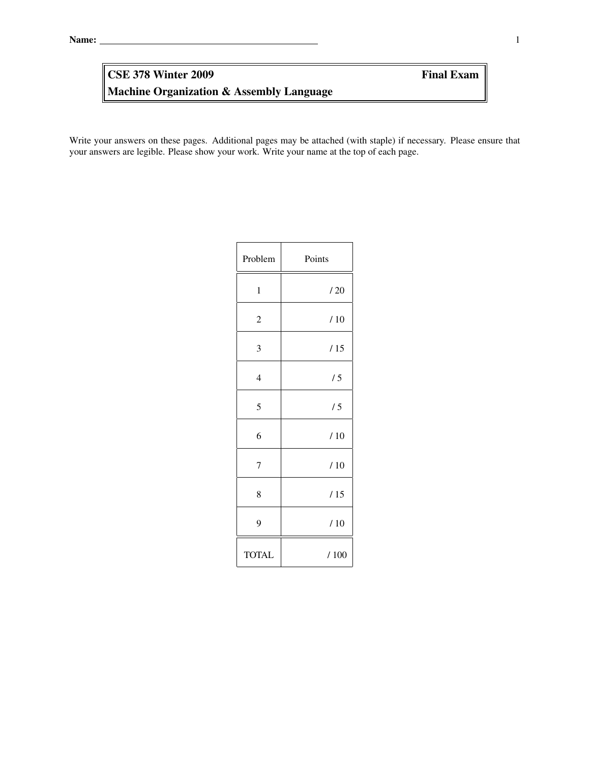# Machine Organization & Assembly Language CSE 378 Winter 2009 Final Exam

Write your answers on these pages. Additional pages may be attached (with staple) if necessary. Please ensure that your answers are legible. Please show your work. Write your name at the top of each page.

| Problem        | Points |
|----------------|--------|
| $\mathbf{1}$   | /20    |
| $\overline{c}$ | /10    |
| 3              | /15    |
| $\overline{4}$ | /5     |
| 5              | /5     |
| 6              | /10    |
| $\overline{7}$ | /10    |
| 8              | /15    |
| 9              | /10    |
| <b>TOTAL</b>   | /100   |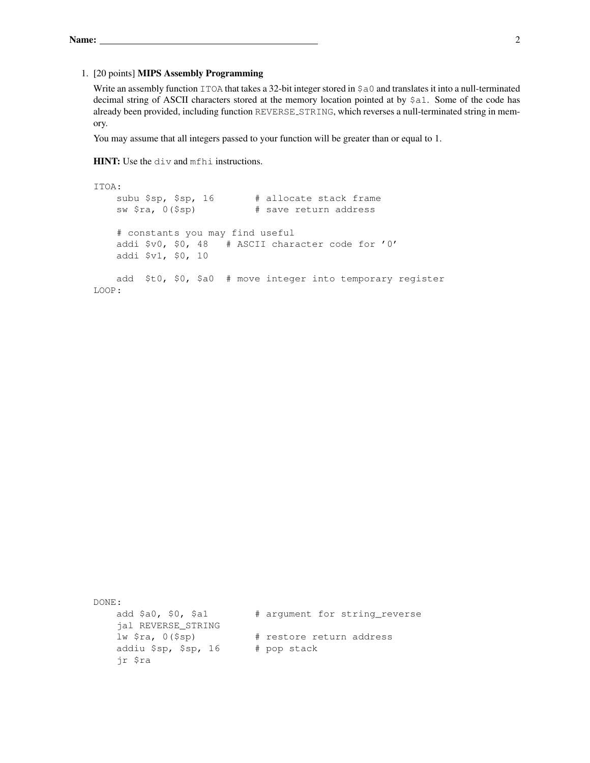#### 1. [20 points] MIPS Assembly Programming

Write an assembly function ITOA that takes a 32-bit integer stored in  $\frac{1}{2}$ a and translates it into a null-terminated decimal string of ASCII characters stored at the memory location pointed at by \$a1. Some of the code has already been provided, including function REVERSE\_STRING, which reverses a null-terminated string in memory.

You may assume that all integers passed to your function will be greater than or equal to 1.

HINT: Use the div and mfhi instructions.

```
ITOA:
   subu $sp, $sp, 16 # allocate stack frame
   sw $ra, 0($sp) # save return address
   # constants you may find useful
   addi $v0, $0, 48 # ASCII character code for '0'
   addi $v1, $0, 10
   add $t0, $0, $a0 # move integer into temporary register
LOOP:
```
DONE: add \$a0, \$0, \$a1 # argument for string\_reverse jal REVERSE\_STRING lw \$ra, 0(\$sp) # restore return address addiu \$sp, \$sp, 16 # pop stack jr \$ra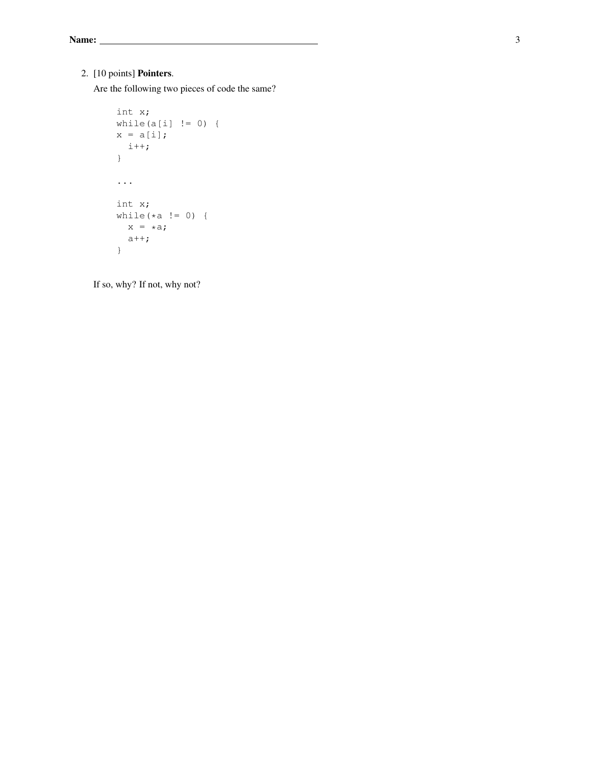## 2. [10 points] Pointers.

Are the following two pieces of code the same?

```
int x;
while(a[i] != 0) {
x = a[i];i++;
}
...
int x;
while(*a != 0) {
 x = *a;a++;
}
```
If so, why? If not, why not?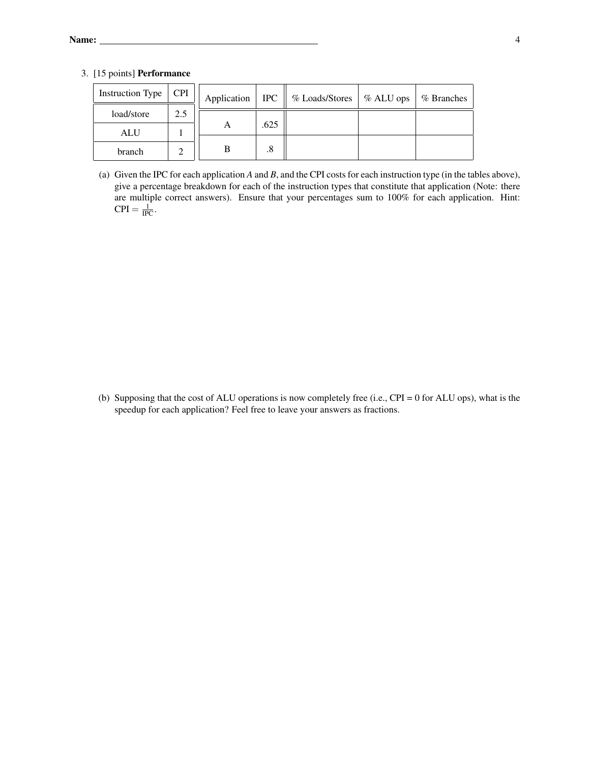3. [15 points] Performance

| <b>Instruction Type</b> | <b>CPI</b> | Application | $ {\rm IPC} \ $ | % Loads/Stores | $%ALU$ ops | % Branches |
|-------------------------|------------|-------------|-----------------|----------------|------------|------------|
| load/store              | 2.5        |             |                 |                |            |            |
| ALU                     |            | A           | .625            |                |            |            |
| branch                  |            | В           | .8              |                |            |            |

(a) Given the IPC for each application *A* and *B*, and the CPI costs for each instruction type (in the tables above), give a percentage breakdown for each of the instruction types that constitute that application (Note: there are multiple correct answers). Ensure that your percentages sum to 100% for each application. Hint:  $\text{CPI} = \frac{1}{\text{IPC}}$ .

(b) Supposing that the cost of ALU operations is now completely free (i.e., CPI = 0 for ALU ops), what is the speedup for each application? Feel free to leave your answers as fractions.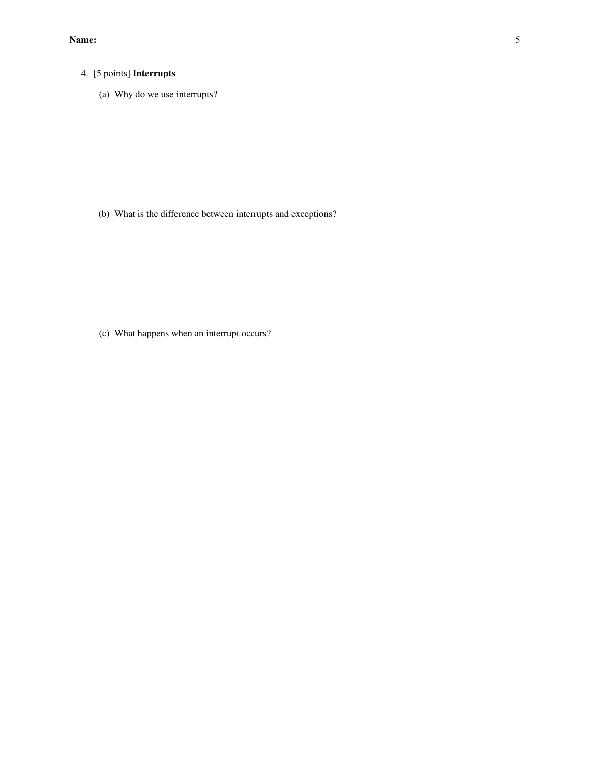## 4. [5 points] Interrupts

(a) Why do we use interrupts?

(b) What is the difference between interrupts and exceptions?

(c) What happens when an interrupt occurs?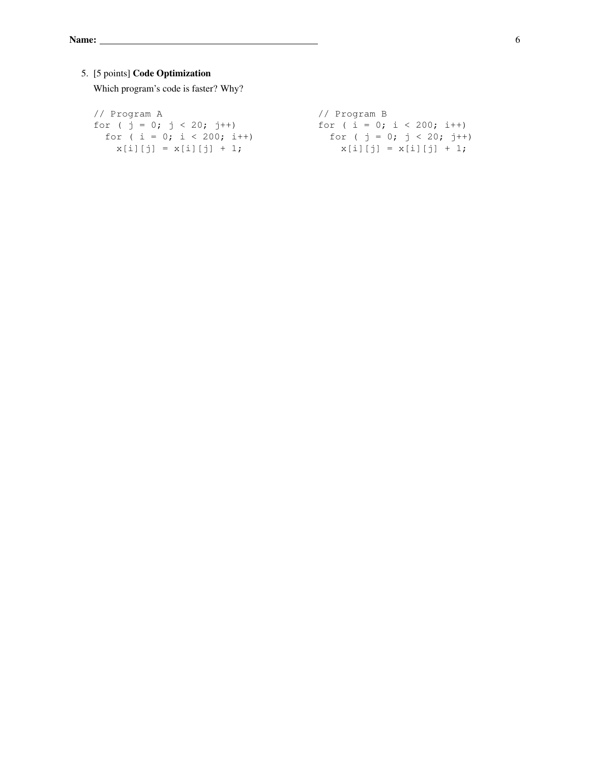## 5. [5 points] Code Optimization

Which program's code is faster? Why?

| // Program A                       | // Program B                                                  |
|------------------------------------|---------------------------------------------------------------|
| for $(j = 0; j < 20; j++)$         | for ( $i = 0$ ; $i < 200$ ; $i++)$                            |
| for ( $i = 0$ ; $i < 200$ ; $i++)$ | for ( $\dot{\eta} = 0$ ; $\dot{\eta} < 20$ ; $\dot{\eta}$ ++) |
| $x[i][j] = x[i][j] + 1;$           | $x[i][j] = x[i][j] + 1;$                                      |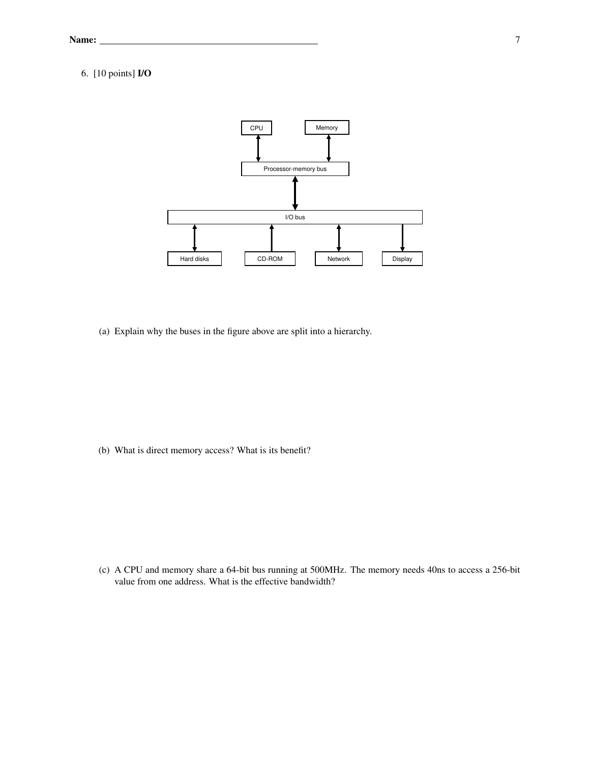## 6. [10 points] I/O



(a) Explain why the buses in the figure above are split into a hierarchy.

(b) What is direct memory access? What is its benefit?

(c) A CPU and memory share a 64-bit bus running at 500MHz. The memory needs 40ns to access a 256-bit value from one address. What is the effective bandwidth?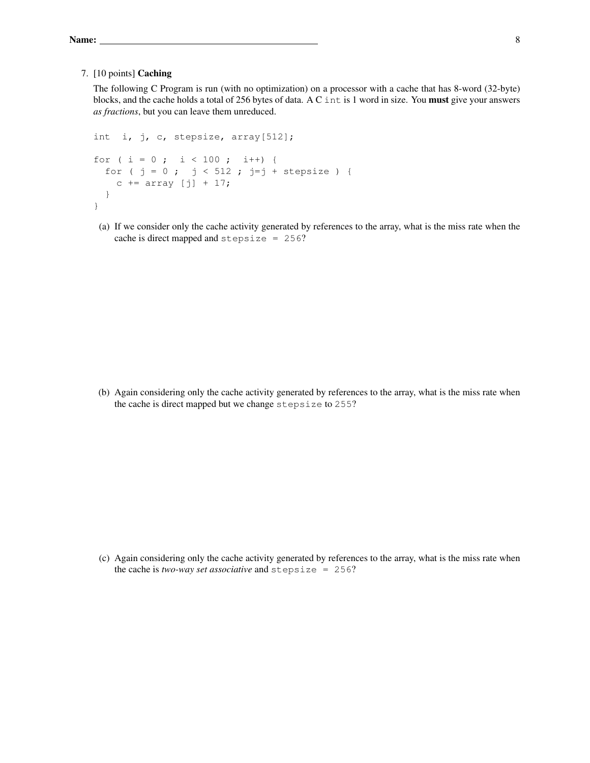#### 7. [10 points] Caching

The following C Program is run (with no optimization) on a processor with a cache that has 8-word (32-byte) blocks, and the cache holds a total of 256 bytes of data. A C int is 1 word in size. You must give your answers *as fractions*, but you can leave them unreduced.

```
int i, j, c, stepsize, array[512];
for ( i = 0 ; i < 100 ; i++) {
 for ( j = 0 ; j < 512 ; j=j + stepsize ) {
   c += array [j] + 17;
 }
}
```
(a) If we consider only the cache activity generated by references to the array, what is the miss rate when the cache is direct mapped and stepsize = 256?

(b) Again considering only the cache activity generated by references to the array, what is the miss rate when the cache is direct mapped but we change stepsize to 255?

(c) Again considering only the cache activity generated by references to the array, what is the miss rate when the cache is *two-way set associative* and stepsize = 256?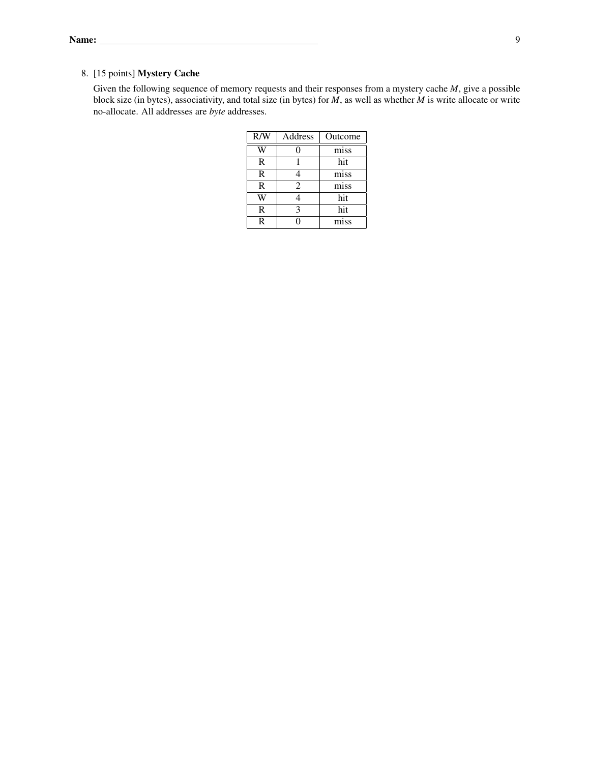#### 8. [15 points] Mystery Cache

Given the following sequence of memory requests and their responses from a mystery cache *M*, give a possible block size (in bytes), associativity, and total size (in bytes) for *M*, as well as whether *M* is write allocate or write no-allocate. All addresses are *byte* addresses.

| R/W          | Address        | Outcome |
|--------------|----------------|---------|
|              |                | miss    |
| R            |                | hit     |
| R            |                | miss    |
| $\mathbb{R}$ | $\mathfrak{D}$ | miss    |
|              |                | hit     |
| R            |                | hit     |
| R            |                | miss    |